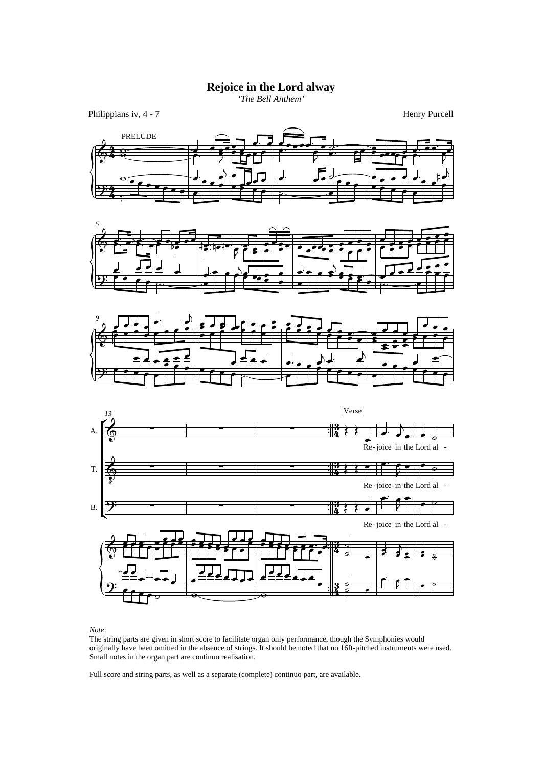## **Rejoice in the Lord alway**

*'The Bell Anthem'*

Philippians iv, 4 - 7 Henry Purcell









*Note*:

The string parts are given in short score to facilitate organ only performance, though the Symphonies would originally have been omitted in the absence of strings. It should be noted that no 16ft-pitched instruments were used. Small notes in the organ part are continuo realisation.

Full score and string parts, as well as a separate (complete) continuo part, are available.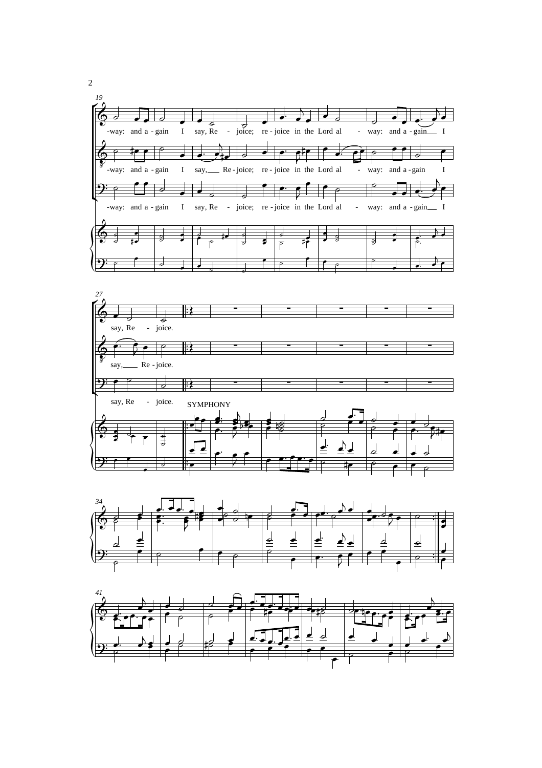





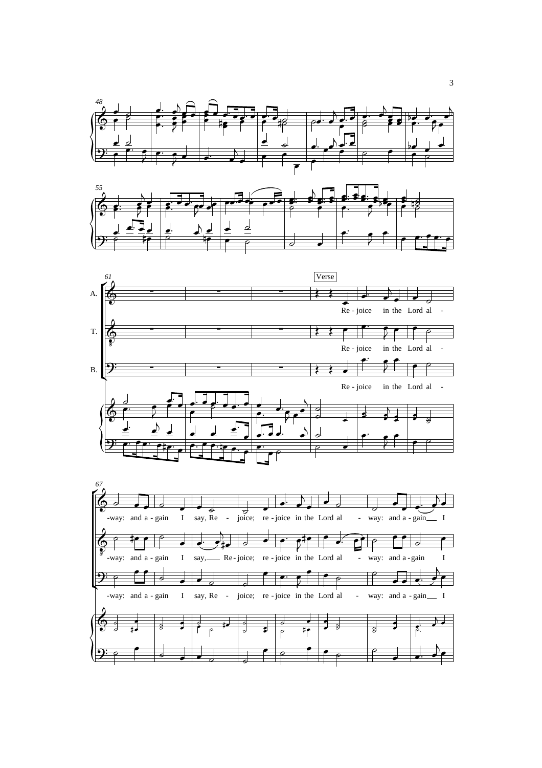





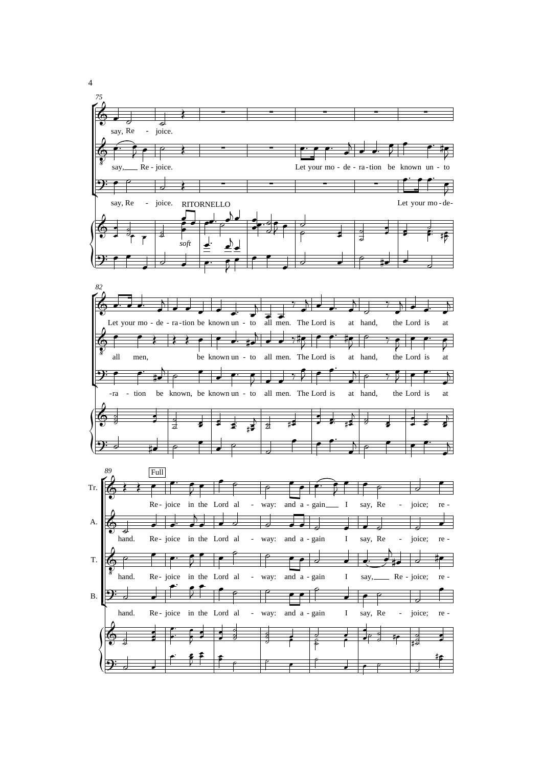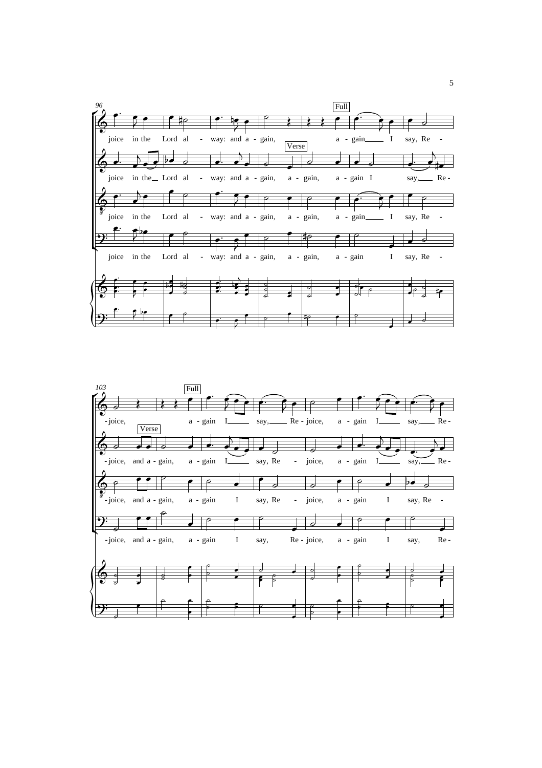

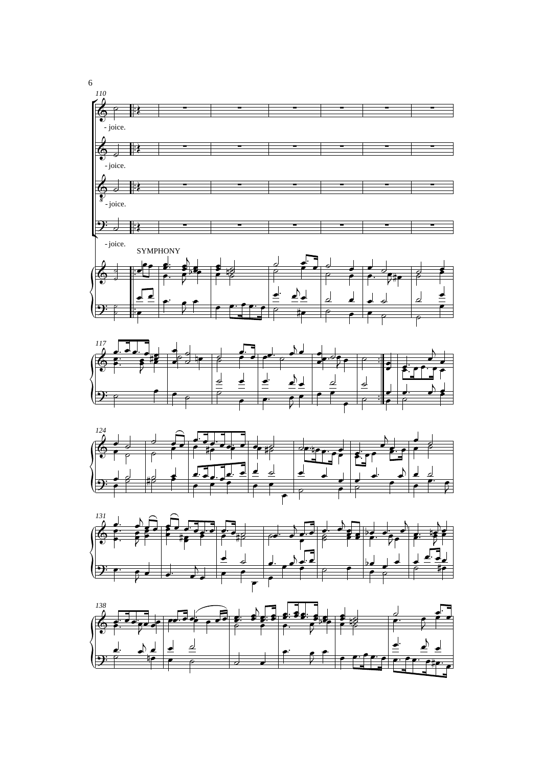







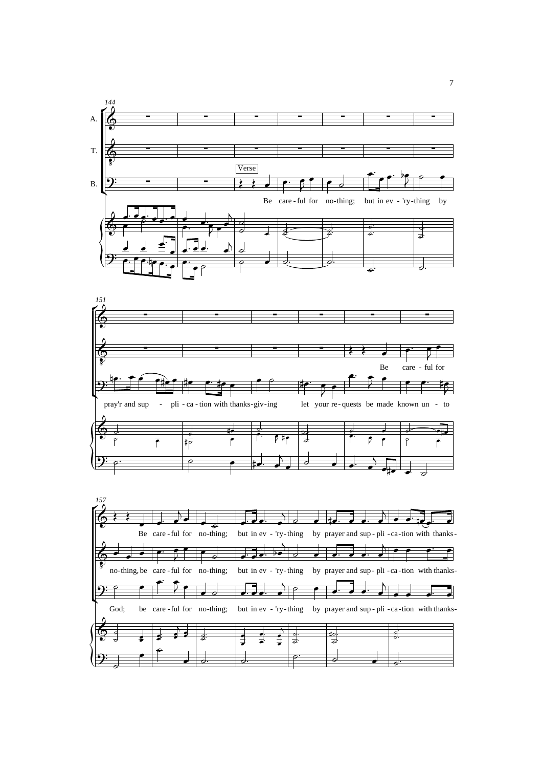



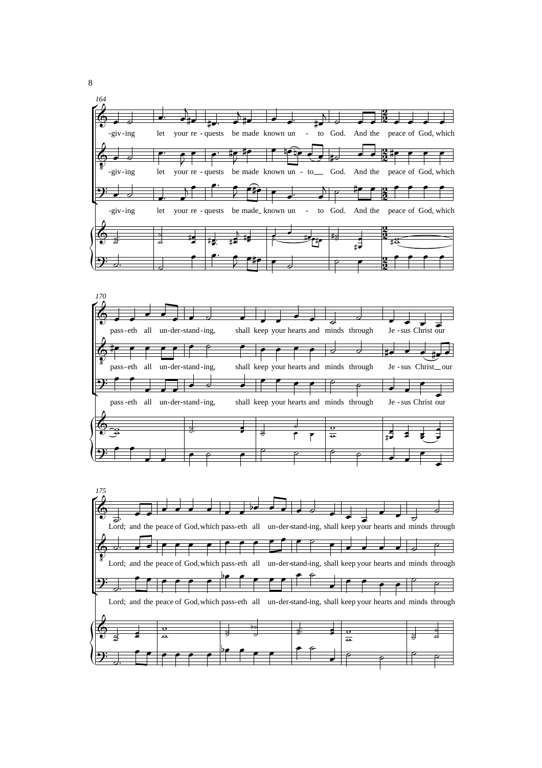



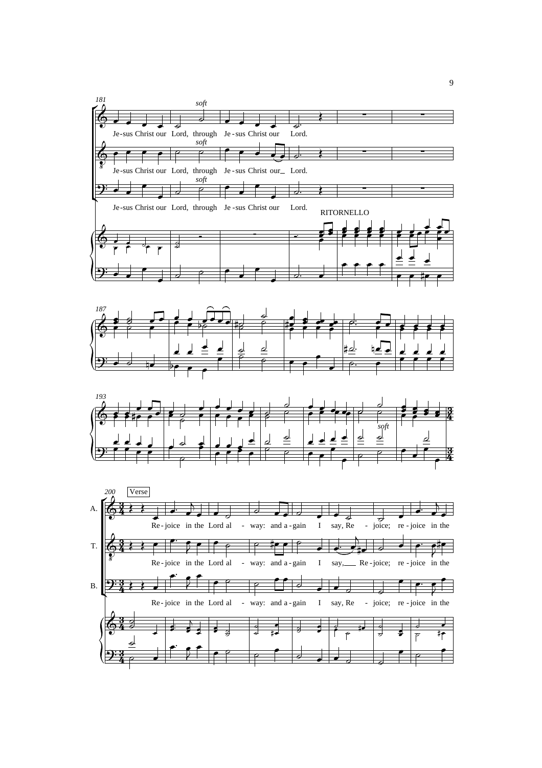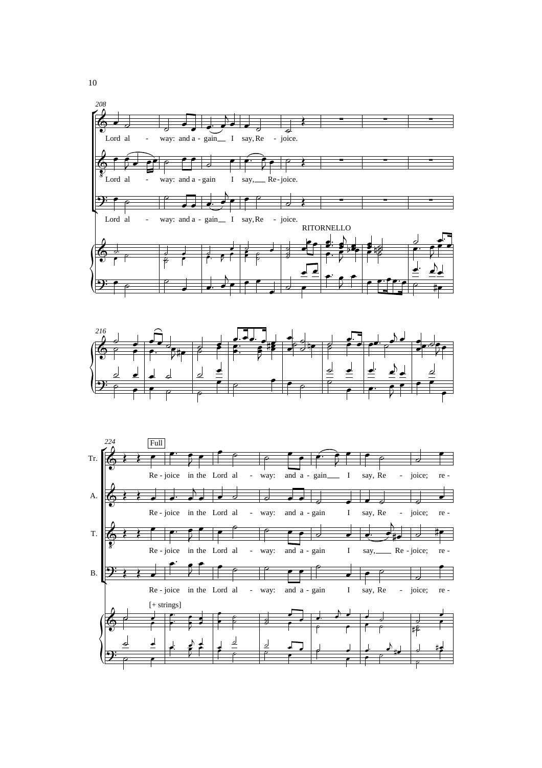